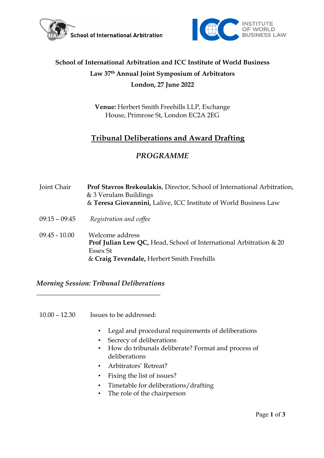



# **School of International Arbitration and ICC Institute of World Business Law 37th Annual Joint Symposium of Arbitrators London, 27 June 2022**

**Venue:** Herbert Smith Freehills LLP, Exchange House, Primrose St, London EC2A 2EG

## **Tribunal Deliberations and Award Drafting**

## *PROGRAMME*

| Joint Chair     | Prof Stavros Brekoulakis, Director, School of International Arbitration,<br>& 3 Verulam Buildings<br>& Teresa Giovannini, Lalive, ICC Institute of World Business Law    |
|-----------------|--------------------------------------------------------------------------------------------------------------------------------------------------------------------------|
| $09:15 - 09:45$ | Registration and coffee                                                                                                                                                  |
| $09.45 - 10.00$ | Welcome address<br><b>Prof Julian Lew QC, Head, School of International Arbitration <math>\&amp; 20</math></b><br>Essex St<br>& Craig Tevendale, Herbert Smith Freehills |

*Morning Session: Tribunal Deliberations* \_\_\_\_\_\_\_\_\_\_\_\_\_\_\_\_\_\_\_\_\_\_\_\_\_\_\_\_\_\_\_\_\_\_\_

10.00 – 12.30 Issues to be addressed:

- Legal and procedural requirements of deliberations
- Secrecy of deliberations
- How do tribunals deliberate? Format and process of deliberations
- Arbitrators' Retreat?
- Fixing the list of issues?
- Timetable for deliberations/drafting
- The role of the chairperson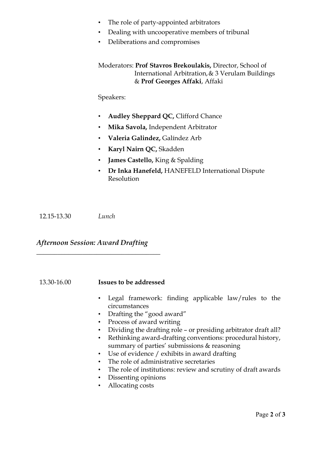- The role of party-appointed arbitrators
- Dealing with uncooperative members of tribunal
- Deliberations and compromises

Moderators: **Prof Stavros Brekoulakis,** Director, School of International Arbitration, & 3 Verulam Buildings & **Prof Georges Affaki**, Affaki

Speakers:

- **Audley Sheppard QC,** Clifford Chance
- **Mika Savola,** Independent Arbitrator
- **Valeria Galindez,** Galíndez Arb
- **Karyl Nairn QC,** Skadden
- **James Castello,** King & Spalding
- **Dr Inka Hanefeld,** HANEFELD International Dispute Resolution

12.15-13.30 *Lunch*

#### *Afternoon Session: Award Drafting*

\_\_\_\_\_\_\_\_\_\_\_\_\_\_\_\_\_\_\_\_\_\_\_\_\_\_\_\_\_\_\_\_\_\_\_

13.30-16.00 **Issues to be addressed**

- Legal framework: finding applicable law/rules to the circumstances
- Drafting the "good award"
- Process of award writing
- Dividing the drafting role or presiding arbitrator draft all?
- Rethinking award-drafting conventions: procedural history, summary of parties' submissions & reasoning
- Use of evidence / exhibits in award drafting
- The role of administrative secretaries
- The role of institutions: review and scrutiny of draft awards
- Dissenting opinions
- Allocating costs